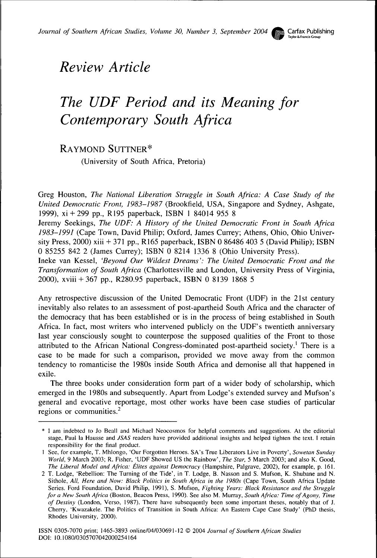## *Review Article*

# *The UDF Period and its Meaning for Contemporary South Africa*

### RAYMOND SUTTNER\*

(University of South Africa, Pretoria)

Greg Houston, *The National Liberation Struggle in South Africa: A Case Study of the United Democratic Front, 1983-1987* (Brookfield, USA, Singapore and Sydney, Ashgate, 1999), xi + 299 pp., R195 paperback, ISBN 1 84014 955 8

Jeremy Seekings, *The UDF: A History of the United Democratic Front in South Africa 1983-1991* (Cape Town, David Philip; Oxford, James Currey; Athens, Ohio, Ohio University Press, 2000) xiii  $+ 371$  pp., R165 paperback, ISBN 0 86486 403 5 (David Philip); ISBN 0 85255 842 2 (James Currey); ISBN 0 8214 1336 8 (Ohio University Press).

Ineke van Kessel, *'Beyond Our Wildest Dreams': The United Democratic Front and the Transformation of South Africa* (Charlottesville and London, University Press of Virginia, 2000), xviii + 367 pp., R280.95 paperback, ISBN 0 8139 1868 5

Any retrospective discussion of the United Democratic Front (UDF) in the 21st century inevitably also relates to an assessment of post-apartheid South Africa and the character of the democracy that has been established or is in the process of being established in South Africa. In fact, most writers who intervened publicly on the UDF's twentieth anniversary last year consciously sought to counterpose the supposed qualities of the Front to those attributed to the African National Congress-dominated post-apartheid society.' There is a case to be made for such a comparison, provided we move away from the common tendency to romanticise the 1980s inside South Africa and demonise all that happened in exile.

The three books under consideration form part of a wider body of scholarship, which emerged in the 1980s and subsequently. Apart from Lodge's extended survey and Mufson's general and evocative reportage, most other works have been case studies of particular regions or communities. $<sup>2</sup>$ </sup>

<sup>\*</sup> I am indebted to Jo Beall and Michael Neocosmos for helpful comments and suggestions. At the editorial stage, Paul la Hausse and *JSAS* readers have provided additional insights and helped tighten the text. I retain responsibility for the final product.

<sup>1</sup> See, for example, T. Mhlongo, 'Our Forgotten Heroes. SA's True Liberators Live in Poverty', *Sowetan Sunday World,* 9 March 2003; R. Fisher, 'UDF Showed US the Rainbow', *The Star,* 5 March 2003; and also K. Good, *The Liberal Model and Africa: Elites against Democracy* (Hampshire, Palgrave, 2002), for example, p. 161.

<sup>2</sup> T. Lodge, 'Rebellion; The Turning of the Tide', in T. Lodge, B. Nasson and S. Mufson, K. Shubane and N. Sithole, *All, Here and Now: Black Politics in South Africa in the 1980s* (Cape Town, South Africa Update Series. Ford Foundation, David Philip, 1991), S. Mufson, *Fighting Years: Black Resistance and the Struggle for a New South Africa* (Boston, Beacon Press, 1990). See also M. Murray, *South Africa: Time of Agony, Time of Destiny* (London, Verso, 1987). There have subsequently been some important theses, notably that of J. Cherry, 'Kwazakele. The Politics of Transition in South Africa: An Eastern Cape Case Study' (PhD thesis, Rhodes University, 2000).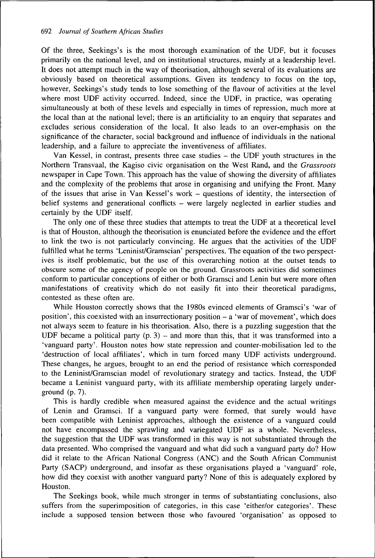Of the three, Seekings's is the most thorough examination of the UDF, but it focuses primarily on the national level, and on institutional structures, mainly at a leadership level. It does not attempt much in the way of theorisation, although several of its evaluations are obviously based on theoretical assumptions. Given its tendency to focus on the top, however, Seekings's study tends to lose something of the flavour of activities at the level where most UDF activity occurred. Indeed, since the UDF, in practice, was operating simultaneously at both of these levels and especially in times of repression, much more at the local than at the national level; there is an artificiality to an enquiry that separates and excludes serious consideration of the local. It also leads to an over-emphasis on the significance of the character, social background and influence of individuals in the national leadership, and a failure to appreciate the inventiveness of affiliates.

Van Kessel, in contrast, presents three case studies - the UDF youth structures in the Northern Transvaal, the Kagiso civic organisation on the West Rand, and the *Grassroots* newspaper in Cape Town. This approach has the value of showing the diversity of affiliates and the complexity of the problems that arose in organising and unifying the Front. Many of the issues that arise in Van Kessel's work - questions of identity, the intersection of belief systems and generational conflicts – were largely neglected in earlier studies and certainly by the UDF itself.

The only one of these three studies that attempts to treat the UDF at a theoretical level is that of Houston, although the theorisation is enunciated before the evidence and the effort to link the two is not particularly convincing. He argues that the activities of the UDF fulfilled what he terms 'Leninist/Gramscian' perspectives. The equation of the two perspectives is itself problematic, but the use of this overarching notion at the outset tends to obscure some of the agency of people on the ground. Grassroots activities did sometimes conform to particular conceptions of either or both Gramsci and Lenin but were more often manifestations of creativity which do not easily fit into their theoretical paradigms, contested as these often are.

While Houston correctly shows that the 1980s evinced elements of Gramsci's 'war of position', this coexisted with an insurrectionary position  $-$  a 'war of movement', which does not always seem to feature in his theorisation. Also, there is a puzzling suggestion that the UDF became a political party  $(p. 3)$  – and more than this, that it was transformed into a 'vanguard party'. Houston notes how state repression and counter-mobilisation led to the 'destruction of local affiliates', which in turn forced many UDF activists underground. These changes, he argues, brought to an end the period of resistance which corresponded to the Leninist/Gramscian model of revolutionary strategy and tactics. Instead, the UDF became a Leninist vanguard party, with its affiliate membership operating largely underground (p. 7).

This is hardly credible when measured against the evidence and the actual writings of Lenin and Gramsci. If a vanguard party were formed, that surely would have been compatible with Leninist approaches, although the existence of a vanguard could not have encompassed the sprawling and variegated UDF as a whole. Nevertheless, the suggestion that the UDF was transformed in this way is not substantiated through the data presented. Who comprised the vanguard and what did such a vanguard party do? How did it relate to the African National Congress (ANC) and the South African Communist Party (SACP) underground, and insofar as these organisations played a 'vanguard' role, how did they coexist with another vanguard party? None of this is adequately explored by Houston.

The Seekings book, while much stronger in terms of substantiating conclusions, also suffers from the superimposition of categories, in this case 'either/or categories'. These include a supposed tension between those who favoured 'organisation' as opposed to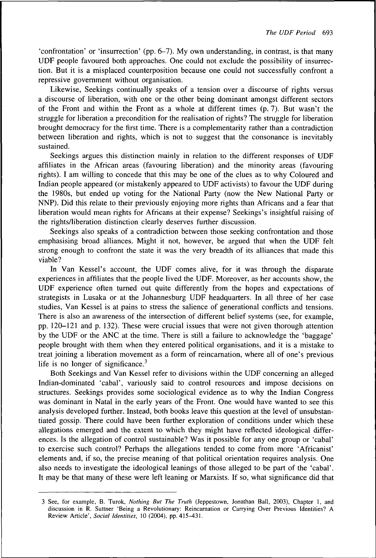'confrontation' or 'insurrection' (pp. 6-7). My own understanding, in contrast, is that many UDF people favoured both approaches. One could not exclude the possibility of insurrection. But it is a misplaced counterposition because one could not successfully confront a repressive government without organisation.

Likewise, Seekings continually speaks of a tension over a discourse of rights versus a discourse of liberation, with one or the other being dominant amongst different sectors of the Front and within the Front as a whole at different times (p. 7). But wasn't the struggle for liberation a precondition for the realisation of rights? The struggle for liberation brought democracy for the first time. There is a complementarity rather than a contradiction between liberation and rights, which is not to suggest that the consonance is inevitably sustained.

Seekings argues this distinction mainly in relation to the different responses of UDF affiliates in the African areas (favouring liberation) and the minority areas (favouring rights). I am willing to concede that this may be one of the clues as to why Coloured and Indian people appeared (or mistakenly appeared to UDF activists) to favour the UDF during the 1980s, but ended up voting for the National Party (now the New National Party or NNP). Did this relate to their previously enjoying more rights than Africans and a fear that liberation would mean rights for Africans at their expense? Seekings's insightful raising of the rights/liberation distinction clearly deserves further discussion.

Seekings also speaks of a contradiction between those seeking confrontation and those emphasising broad alliances. Might it not, however, be argued that when the UDF felt strong enough to confront the state it was the very breadth of its alliances that made this viable?

In Van Kessel's account, the UDF comes alive, for it was through the disparate experiences in affiliates that the people lived the UDF. Moreover, as her accounts show, the UDF experience often turned out quite differently from the hopes and expectations of strategists in Lusaka or at the Johannesburg UDF headquarters. In all three of her case studies. Van Kessel is at pains to stress the salience of generational conflicts and tensions. There is also an awareness of the intersection of different belief systems (see, for example, pp. 120-121 and p. 132). These were crucial issues that were not given thorough attention by the UDF or the ANC at the time. There is still a failure to acknowledge the 'baggage' people brought with them when they entered political organisations, and it is a mistake to treat joining a liberation movement as a form of reincarnation, where all of one's previous life is no longer of significance.<sup>3</sup>

Both Seekings and Van Kessel refer to divisions within the UDF concerning an alleged Indian-dominated 'cabal', variously said to control resources and impose decisions on structures. Seekings provides some sociological evidence as to why the Indian Congress was dominant in Natal in the early years of the Front. One would have wanted to see this analysis developed further. Instead, both books leave this question at the level of unsubstantiated gossip. There could have been further exploration of conditions under which these allegations emerged and the extent to which they might have refiected ideological differences. Is the allegation of control sustainable? Was it possible for any one group or 'cabal' to exercise such control? Perhaps the allegations tended to come from more 'Africanist' elements and, if so, the precise meaning of that political orientation requires analysis. One also needs to investigate the ideological leanings of those alleged to be part of the 'cabal'. It may be that many of these were left leaning or Marxists. If so, what significance did that

<sup>3</sup> See, for example, B. Turok, *Nothing But The Truth* (Jeppestown, Jonathan Ball, 2003), Chapter 1, and discussion in R. Suttner 'Being a Revolutionary: Reincarnation or Carrying Over Previous Identities? A Review Article', *Social Identities,* 10 (2004), pp. 415-431.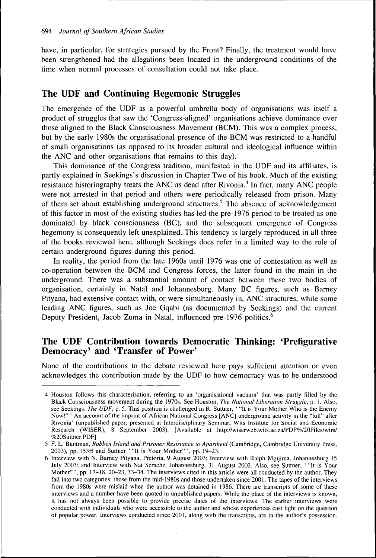have, in particular, for strategies pursued by the Front? Finally, the treatment would have been strengthened had the allegations been located in the underground conditions of the time when normal processes of consultation could not take place.

#### The UDF and Continuing Hegemonic Struggles

The emergence of the UDF as a powerful umbrella body of organisations was itself a product of struggles that saw the 'Congress-aligned' organisations achieve dominance over those aligned to the Black Consciousness Movement (BCM). This was a complex process, but by the early 1980s the organisational presence of the BCM was restricted to a handful of small organisations (as opposed to its broader cultural and ideological influence within the ANC and other organisations that remains to this day).

This dominance of the Congress tradition, manifested in the UDF and its afflliates, is partly explained in Seekings's discussion in Chapter Two of his book. Much of the existing resistance historiography treats the ANC as dead after Rivonia.'\* In fact, many ANC people were not arrested in that period and others were periodically released from prison. Many of them set about establishing underground structures.' The absence of acknowledgement of this factor in most of the existing studies has led the pre-1976 period to be treated as one dominated by black consciousness (BC), and the subsequent emergence of Congress hegemony is consequently left unexplained. This tendency is largely reproduced in all three of the books reviewed here, although Seekings does refer in a limited way to the role of certain underground figures during this period.

In reality, the period from the late 1960s until 1976 was one of contestation as well as co-operation between the BCM and Congress forces, the latter found in the main in the underground. There was a substantial amount of contact between these two bodies of organisation, certainly in Natal and Johannesburg. Many BC figures, such as Barney Pityana, had extensive contact with, or were simultaneously in, ANC structures, while some leading ANC figures, such as Joe Gqabi (as documented by Seekings) and the current Deputy President, Jacob Zuma in Natal, influenced pre-1976 politics.<sup>6</sup>

#### The UDF Contribution towards Democratic Thinking: 'Prefigurative Democracy' and 'Transfer of Power'

None of the contributions to the debate reviewed here pays sufficient attention or even acknowledges the contribution made by the UDF to how democracy was to be understood

<sup>4</sup> Houston follows this characterisation, referring to an 'organisational vacuum' that was partly filled by the Black Consciousness movement during the 1970s. See Houston, *The National Liberation Struggle,* p. 1. Also, see Seekings, *The UDF,* p. 5. This position is challenged in R. Suttner, ' "It is Your Mother Who is the Enemy Now!" ' An account of the imprint of African National Congress [ANC] underground activity in the "lull" after Rivonia' (unpublished paper, presented at Interdisciplinary Seminar, Wits Institute for Social and Economic Research (WISER), 8 September 2003). [Available at http://wiserweb.wits.ac.za/PDF%/20Files/wirs/ %20Suttner.PDF]

<sup>5</sup> F. L. Buntman, *Robben Island and Prisoner Resistance to Apartheid* (Cambridge, Cambridge University Press, 2003), pp. 153ff and Suttner ' "It is Your Mother" ', pp. 19-23.

<sup>6</sup> Interview with N. Barney Pityana, Pretoria, 9 August 2003; Interview with Ralph Mgijima, Johannesburg 15 July 2003; and Interview with Nat Serache, Johannesburg, 31 August 2002. Also, see Suttner, ' "It is Your Mother"', pp. 17–18, 20–23, 33–34. The interviews cited in this article were all conducted by the author. They fall into two categories: those from the mid-1980s and those undertaken since 2001. The tapes of the interviews from the 1980s were mislaid when the author was detained in 1986. There are transcripts of some of these interviews and a number have been quoted in unpublished papers. While the place of the interviews is known, it has not always been possible to provide precise dates of the interviews. The earlier interviews were conducted with individuals who were accessible to the author and whose experiences cast light on the question of popular power. Interviews conducted since 2001, along with the transcripts, are in the author's possession.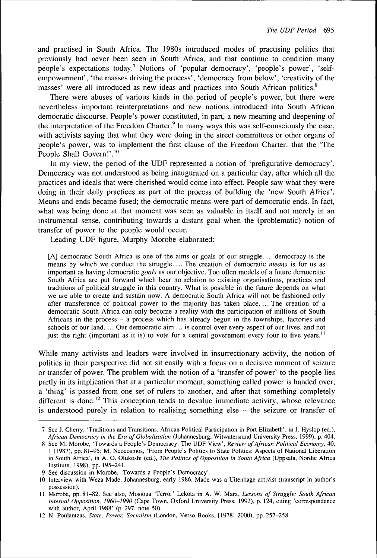and practised in South Africa. The 1980s introduced modes of practising politics that previously had never been seen in South Africa, and that continue to condition many people's expectations today.' Notions of 'popular democracy', 'people's power', 'selfempowerment', 'the masses driving the process', 'democracy from below', 'creativity of the masses' were all introduced as new ideas and practices into South African politics.<sup>8</sup>

There were abuses of various kinds in the period of people's power, but there were nevertheless important reinterpretations and new notions introduced into South African democratic discourse. People's power constituted, in part, a new meaning and deepening of the interpretation of the Freedom Charter. $<sup>9</sup>$  In many ways this was self-consciously the case,</sup> with activists saying that what they were doing in the street committees or other organs of people's power, was to implement the first clause of the Freedom Charter: that the 'The People Shall Govern!'.<sup>10</sup>

In my view, the period of the UDF represented a notion of 'prefigurative democracy'. Democracy was not understood as being inaugurated on a particular day, after which all the practices and ideals that were cherished would come into effect. People saw what they were doing in their daily practices as part of the process of building the 'new South Africa'. Means and ends became fused; the democratic means were part of democratic ends. In fact, what was being done at that moment was seen as valuable in itself and not merely in an instrumental sense, contributing towards a distant goal when the (problematic) notion of transfer of power to the people would occur.

Leading UDF figure. Murphy Morobe elaborated:

[A] democratic South Africa is one of the aims or goals of our struggle. ... democracy is the means by whieh we conduct the struggle. ... The creation of democratic *means* is for us as important as having democratic *goals* as our objective. Too often models of a future democratic South Africa are put forward which bear no relation to existing organisations, practices and traditions of political struggle in this country. What is possible in the future depends on what we are able to create and sustain now. A democratic South Africa will not be fashioned only after transference of political power to the majority has taken place. ... The creation of a democratic South Africa can only become a reality with the participation of millions of South Africans in the process  $-$  a process which has already begun in the townships, factories and schools of our land. ... Our democratic aim ... is control over every aspect of our lives, and not just the right (important as it is) to vote for a central government every four to five years.<sup>11</sup>

While many activists and leaders were involved in insurrectionary activity, the notion of politics in their perspective did not sit easily with a focus on a decisive moment of seizure or transfer of power. The problem with the notion of a 'transfer of power' to the people lies partly in its implication that at a particular moment, something called power is handed over, a 'thing' is passed from one set of rulers to another, and after that something completely different is done.<sup>12</sup> This conception tends to devalue immediate activity, whose relevance is understood purely in relation to realising something else - the seizure or transfer of

<sup>7</sup> See J. Cherry, 'Traditions and Transitions. African Political Participation in Port Elizabeth', in J. Hyslop (ed.), *African Democracy In the Era of Globalisation* (Johannesburg, Witwatersrand Llniversity Press, 1999), p. 404.

<sup>8</sup> See M. Morobe, 'Towards a People's Democracy: The UDF View', *Review of African Political Economy,* 40, 1 (1987), pp. 81-95; M. Neocosmos, 'From People's-Politics to State Politics: Aspects of National Liberation in South Africa', in A. O. Olukoshi (ed.), *The Politics of Opposition in South Africa* (Uppsala, Nordic Africa Institute, 1998), pp. 195-241.

<sup>9</sup> See discussion in Morobe, 'Towards a People's Democracy'.

<sup>10</sup> Interview with Weza Made, Johannesburg, early 1986. Made was a Uitenhage activist (transcript in author's possession).

<sup>11</sup> Morobe, pp. 81-82. See also, Mosioua 'Terror' Lekota in A. W. Marx, *Lessons of Struggle: South African Internal Opposition, ]960-1990* (Cape Town, Oxford University Press, 1992), p. 124, citing 'correspondence with author, April 1988' (p. 297, note 50).

<sup>12</sup> N. Poulantzas, *State, Power, Socialism* (London, Verso Books, [1978] 2000), pp. 257-258.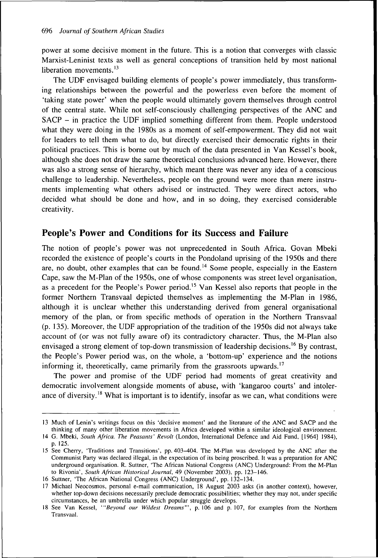power at some decisive moment in the future. This is a notion that converges with classic Marxist-Leninist texts as well as general conceptions of transition held by most national liberation movements. $^{13}$ 

The UDF envisaged building elements of people's power immediately, thus transforming relationships between the powerful and the powerless even before the moment of 'taking state power' when the people would ultimately govern themselves through control of the central state. While not self-consciously challenging perspectives of the ANC and SACP - in practice the UDF implied something different from them. People understood what they were doing in the 1980s as a moment of self-empowerment. They did not wait for leaders to tell them what to do, but directly exercised their democratic rights in their political practices. This is borne out by much of the data presented in Van Kessel's book, although she does not draw the same theoretical conclusions advanced here. However, there was also a strong sense of hierarchy, which meant there was never any idea of a conscious challenge to leadership. Nevertheless, people on the ground were more than mere instruments implementing what others advised or instructed. They were direct actors, who decided what should be done and how, and in so doing, they exercised considerable creativity.

#### People's Power and Conditions for its Success and Failure

The notion of people's power was not unprecedented in South Africa. Govan Mbeki recorded the existence of people's courts in the Pondoland uprising of the 1950s and there are, no doubt, other examples that can be found.<sup>14</sup> Some people, especially in the Eastern Cape, saw the M-Plan of the 1950s, one of whose components was street level organisation, as a precedent for the People's Power period.<sup>15</sup> Van Kessel also reports that people in the former Northern Transvaal depicted themselves as implementing the M-Plan in 1986, although it is unclear whether this understanding derived from general organisational memory of the plan, or from specific methods of operation in the Northern Transvaal (p. 135). Moreover, the UDF appropriation of the tradition of the 1950s did not always take account of (or was not fully aware of) its contradictory character. Thus, the M-Plan also envisaged a strong element of top-down transmission of leadership decisions.<sup>16</sup> By contrast, the People's Power period was, on the whole, a 'bottom-up' experience and the notions informing it, theoretically, came primarily from the grassroots upwards.<sup>17</sup>

The power and promise of the UDF period had moments of great creativity and democratic involvement alongside moments of abuse, with 'kangaroo courts' and intolerance of diversity.<sup>18</sup> What is important is to identify, insofar as we can, what conditions were

<sup>13</sup> Much of Lenin's writings focus on this 'decisive moment' and the literature of the ANC and SACP and the thinking of many other liberation movements in Africa developed within a similar ideological environment.

<sup>14</sup> G. Mbeki, *South Africa. The Peasants' Revolt* (London, International Defence and Aid Fund, [1964] 1984), p. 125.

<sup>15</sup> See Cherry, 'Traditions and Transitions', pp. 403-404. The M-Plan was developed by the ANC after the Communist Party was declared illegal, in the expectation of its being proscribed. It was a preparation for ANC underground organisation. R. Suttner, 'The African National Congress (ANC) Underground: From the M-Plan to Rivonia', *South African Historical Journal,* 49 (November 2003), pp. 123-146.

<sup>16</sup> Suttner, 'The African National Congress (ANC) Underground', pp. 132-134.

<sup>17</sup> Michael Neocosmos, personal e-mail communication, 18 August 2003 asks (in another context), however, whether top-down decisions necessarily preclude democratic possibilities; whether they may not, under specific circumstances, be an umbrella under which popular struggle develops.

<sup>18</sup> See Van Kessel, *'"Beyond our Wildest Dreams'",* p. 106 and p. 107, for examples from the Northern Transvaal.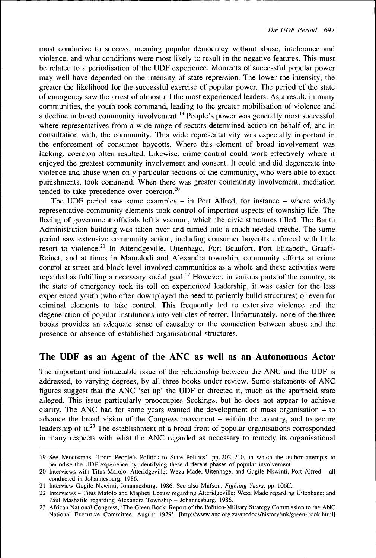most conducive to success, meaning popular democracy without abuse, intolerance and violence, and what conditions were most likely to result in the negative features. This must be related to a periodisation of the UDF experience. Moments of successful popular power may well have depended on the intensity of state repression. The lower the intensity, the greater the likelihood for the successful exercise of popular power. The period of the state of emergency saw the arrest of almost all the most experienced leaders. As a result, in many communities, the youth took command, leading to the greater mobilisation of violence and a decline in broad community involvement.<sup>19</sup> People's power was generally most successful where representatives from a wide range of sectors determined action on behalf of, and in consultation with, the community. This wide representativity was especially important in the enforcement of consumer boycotts. Where this element of broad involvement was lacking, coercion often resulted. Likewise, crime control could work effectively where it enjoyed the greatest community involvement and consent. It could and did degenerate into violence and abuse when only particular sections of the community, who were able to exact punishments, took command. When there was greater community involvement, mediation tended to take precedence over coercion. $20$ 

The UDF period saw some examples  $-$  in Port Alfred, for instance  $-$  where widely representative community elements took control of important aspects of township life. The fleeing of government officials left a vacuum, which the civic structures filled. The Bantu Administration building was taken over and turned into a much-needed creche. The same period saw extensive community action, including consumer boycotts enforced with little resort to violence.<sup>21</sup> In Atteridgeville, Uitenhage, Fort Beaufort, Port Elizabeth, Graaff-Reinet, and at times in Mamelodi and Alexandra township, community efforts at crime control at street and block level involved communities as a whole and these activities were regarded as fulfilling a necessary social goal.<sup>22</sup> However, in various parts of the country, as the state of emergency took its toll on experienced leadership, it was easier for the less experienced youth (who often downplayed the need to patiently build structures) or even for criminal elements to take control. This frequently led to extensive violence and the degeneration of popular institutions into vehicles of terror. Unfortunately, none of the three books provides an adequate sense of causality or the connection between abuse and the presence or absence of established organisational structures.

#### The UDF as an Agent of the ANC as well as an Autonomous Actor

The important and intractable issue of the relationship between the ANC and the UDF is addressed, to varying degrees, by all three books under review. Some statements of ANC figures suggest that the ANC 'set up' the UDF or directed it, much as the apartheid state alleged. This issue particularly preoccupies Seekings, but he does not appear to achieve clarity. The ANC had for some years wanted the development of mass organisation  $-$  to advance the broad vision of the Congress movement - within the country, and to secure leadership of it. $^{23}$  The establishment of a broad front of popular organisations corresponded in many respects with what the ANC regarded as necessary to remedy its organisational

<sup>19</sup> See Neocosmos, 'From People's Politics to State Polities', pp. 202-210, in which the author attempts to periodise the UDF experience by identifying these different phases of popular involvement.

<sup>20</sup> Interviews with Titus Mafolo, Atteridgeville; Weza Made, Uitenhage; and Gugile Nkwinti, Port Alfred - all conducted in Johannesburg, 1986.

<sup>21</sup> Interview Gugile Nkwinti, Johannesburg, 1986. See also Mufson, *Fighting Years,* pp. 106ff.

<sup>22</sup> Interviews - Titus Mafolo and Mapheti Leeuw regarding Atteridgeville; Weza Made regarding Uitenhage; and Paul Mashatile regarding Alexandra Township - Johannesburg, 1986.

<sup>23</sup> African National Congress, 'The Green Book. Report of the Politico-Military Strategy Commission to the ANC National Executive Committee, August 1979'. [http://www.anc.org.za/ancdocs/history/mk/green-book.html]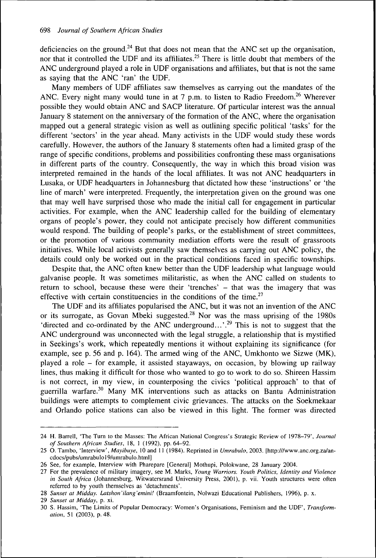deficiencies on the ground.<sup>24</sup> But that does not mean that the ANC set up the organisation, nor that it controlled the UDF and its affiliates.<sup>25</sup> There is little doubt that members of the ANC underground played a role in UDF organisations and affiliates, but that is not the same as saying that the ANC 'ran' the UDF.

Many members of UDF affiliates saw themselves as carrying out the mandates of the ANC. Every night many would tune in at  $7$  p.m. to listen to Radio Freedom.<sup>26</sup> Wherever possible they would obtain ANC and SACP literature. Of particular interest was the annual January 8 statement on the anniversary of the formation of the ANC, where the organisation mapped out a general strategic vision as well as outlining specific political 'tasks' for the different 'sectors' in the year ahead. Many activists in the UDF would study these words carefully. However, the authors of the January 8 statements often had a limited grasp of the range of specific conditions, problems and possibilities confronting these mass organisations in different parts of the country. Consequently, the way in which this broad vision was interpreted remained in the hands of the local affiliates. It was not ANC headquarters in Lusaka, or UDF headquarters in Johannesburg that dictated how these 'instructions' or 'the line of march' were interpreted. Frequently, the interpretation given on the ground was one that may well have surprised those who made the initial call for engagement in particular activities. For example, when the ANC leadership called for the building of elementary organs of people's power, they could not anticipate precisely how different communities would respond. The building of people's parks, or the establishment of street committees, or the promotion of various community mediation efforts were the result of grassroots initiatives. While local activists generally saw themselves as carrying out ANC policy, the details could only be worked out in the practical conditions faced in specific townships.

Despite that, the ANC often knew better than the UDF leadership what language would galvanise people. It was sometimes militaristic, as when the ANC called on students to return to school, because these were their 'trenches' - that was the imagery that was effective with certain constituencies in the conditions of the time. $27$ 

The UDF and its affiliates popularised the ANC, but it was not an invention of the ANC or its surrogate, as Govan Mbeki suggested.<sup>28</sup> Nor was the mass uprising of the 1980s 'directed and co-ordinated by the ANC underground...'.<sup>29</sup> This is not to suggest that the ANC underground was unconnected with the legal struggle, a relationship that is mystified in Seekings's work, which repeatedly mentions it without explaining its significance (for example, see p. 56 and p. 164). The armed wing of the ANC, Umkhonto we Sizwe (MK), played a role - for example, it assisted stayaways, on occasion, by blowing up railway lines, thus making it difficult for those who wanted to go to work to do so. Shireen Hassim is not correct, in my view, in counterposing the civics 'political approach' to that of guerrilla warfare.<sup>30</sup> Many MK interventions such as attacks on Bantu Administration buildings were attempts to complement civic grievances. The attacks on the Soekmekaar and Orlando police stations can also be viewed in this light. The former was directed

<sup>24</sup> H. Barren, 'The Turn to the Masses: The African National Congress's Strategic Review of 1978-79', *Journal of Southern African Studies,* 18, 1 (1992), pp. 64-92.

<sup>25</sup> O. Tambo, 'Interview', *Mayibuye,* 10 and 11 (1984). Reprinted in *Umrabulo,* 2003. [http:///www.anc.org.zayancdocs/pubs/umrabulo 19/umrabulo.html]

<sup>26</sup> See, for example. Interview with Pharepare [General] Mothupi, Polokwane, 28 January 2004.

<sup>27</sup> For the prevalence of military imagery, see M. Marks, *Young Warriors. Youth Politics, Identity and Violence in South Africa* (Johannesburg, Witwatersrand University Press, 2001), p. vii. Youth structures were often referred to by youth themselves as 'detachments'.

<sup>28</sup> *Sunset at Midday. Latshon'ilang'emini!* (Braamfontein, Nolwazi Educational Publishers, 1996), p. x.

<sup>29</sup> *Sunset at Midday,* p. xi.

<sup>30</sup> S. Hassim, 'The Limits of Popular Democracy: Women's Organisations, Feminism and the UDF', *Transformation,* 51 (2003), p. 48.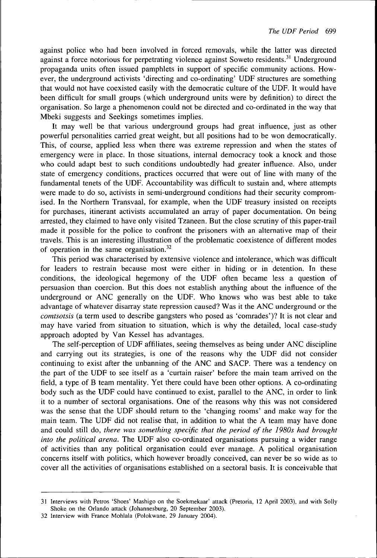against police who had been involved in forced removals, while the latter was directed against a force notorious for perpetrating violence against Soweto residents.<sup>31</sup> Underground propaganda units often issued pamphlets in support of specific community actions. However, the underground activists 'directing and co-ordinating' UDF structures are something that would not have coexisted easily with the democratic culture of the UDF. It would have been difficult for small groups (which underground units were by definition) to direct the organisation. So large a phenomenon could not be directed and co-ordinated in the way that Mbeki suggests and Seekings sometimes implies.

It may well be that various underground groups had great influence, just as other powerful personalities carried great weight, but all positions had to be won democratically. This, of course, applied less when there was extreme repression and when the states of emergency were in place. In those situations, internal democracy took a knock and those who could adapt best to such conditions undoubtedly had greater influence. Also, under state of emergency conditions, practices occurred that were out of line with many of the fundamental tenets of the UDF. Accountability was difficult to sustain and, where attempts were made to do so, activists in semi-underground conditions had their security compromised. In the Northern Transvaal, for example, when the UDF treasury insisted on receipts for purchases, itinerant activists accumulated an array of paper documentation. On being arrested, they claimed to have only visited Tzaneen. But the close scrutiny of this paper-trail made it possible for the police to confront the prisoners with an alternative map of their travels. This is an interesting illustration of the problematic coexistence of different modes of operation in the same organisation. $32$ 

This period was characterised by extensive violence and intolerance, which was difficult for leaders to restrain because most were either in hiding or in detention. In these conditions, the ideological hegemony of the UDF often became less a question of persuasion than coercion. But this does not establish anything about the influence of the underground or ANC generally on the UDF. Who knows who was best able to take advantage of whatever disarray state repression caused? Was it the ANC underground or the *comtsotsis* (a term used to describe gangsters who posed as 'comrades')? It is not clear and may have varied from situation to situation, which is why the detailed, local case-study approach adopted by Van Kessel has advantages.

The self-perception of UDF affiliates, seeing themselves as being under ANC discipline and carrying out its strategies, is one of the reasons why the UDF did not consider continuing to exist after the unbanning of the ANC and SACP. There was a tendency on the part of the UDF to see itself as a 'curtain raiser' before the main team arrived on the field, a type of B team mentality. Yet there could have been other options. A co-ordinating body such as the UDF could have continued to exist, parallel to the ANC, in order to link it to a number of sectoral organisations. One of the reasons why this was not considered was the sense that the UDF should return to the 'changing rooms' and make way for the main team. The UDF did not realise that, in addition to what the A team may have done and could still do, *there was something specific that the period of the 1980s had brought into the political arena.* The UDF also co-ordinated organisations pursuing a wider range of activities than any political organisation could ever manage. A political organisation concerns itself with politics, which however broadly conceived, can never be so wide as to cover all the activities of organisations established on a sectoral basis. It is conceivable that

<sup>31</sup> Interviews with Petros 'Shoes' Mashigo on the Soekmekaar' attack (Pretoria, 12 April 2003), and with Solly Shoke on the Orlando attack (Johannesburg, 20 September 2003).

<sup>32</sup> Interview with France Mohlala (Polokwane, 29 January 2004).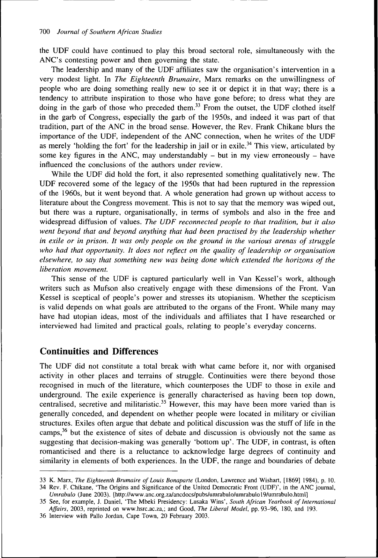the UDF could have continued to play this broad sectoral role, sinnultaneously with the ANC's contesting power and then governing the state.

The leadership and many of the UDF affiliates saw the organisation's intervention in a very modest light. In *The Eighteenth Brumaire,* Marx remarks on the unwillingness of people who are doing something really new to see it or depict it in that way; there is a tendency to attribute inspiration to those who have gone before; to dress what they are doing in the garb of those who preceded them.<sup>33</sup> From the outset, the UDF clothed itself in the garb of Congress, especially the garb of the 1950s, and indeed it was part of that tradition, part of the ANC in the broad sense. However, the Rev. Frank Chikane blurs the importance of the UDF, independent of the ANC connection, when he writes of the UDF as merely 'holding the fort' for the leadership in jail or in exile.<sup>34</sup> This view, articulated by some key figures in the ANC, may understandably  $-$  but in my view erroneously  $-$  have influenced the conclusions of the authors under review.

While the UDF did hold the fort, it also represented something qualitatively new. The UDF recovered some of the legacy of the 1950s that had been ruptured in the repression of the 1960s, but it went beyond that. A whole generation had grown up without access to literature about the Congress movement. This is not to say that the memory was wiped out, but there was a rupture, organisationally, in terms of symbols and also in the free and widespread diffusion of values. *The UDF reconnected people to that tradition, but it also went beyond that and beyond anything that had been practised by the leadership whether in exile or in prison. It was only people on the ground in the various arenas of struggle who had that opportunity. It does not reflect on the quality of leadership or organisation elsewhere, to say that something new was being done which extended the horizons of the liberation movement.*

This sense of the UDF is captured particularly well in Van Kessel's work, although writers such as Mufson also creatively engage with these dimensions of the Front. Van Kessel is sceptical of people's power and stresses its utopianism. Whether the scepticism is valid depends on what goals are attributed to the organs of the Front. While many may have had utopian ideas, most of the individuals and affiliates that I have researched or interviewed had limited and practical goals, relating to people's everyday concerns.

#### Continuities and Differences

The UDF did not constitute a total break with what came before it, nor with organised activity in other places and terrains of struggle. Continuities were there beyond those recognised in much of the literature, which counterposes the UDF to those in exile and underground. The exile experience is generally characterised as having been top down, centralised, secretive and militaristic.<sup>35</sup> However, this may have been more varied than is generally conceded, and dependent on whether people were located in military or civilian structures. Exiles often argue that debate and political discussion was the stuff of life in the camps, $36$  but the existence of sites of debate and discussion is obviously not the same as suggesting that decision-making was generally 'bottom up'. The UDF, in contrast, is often romanticised and there is a reluctance to acknowledge large degrees of continuity and similarity in elements of both experiences. In the UDF, the range and boundaries of debate

<sup>33</sup> K. Marx, *The Eighteenth Brumaire of Louis Bonaparte* (London, Lawrence and Wishart, [1869] 1984), p. 10.

<sup>34</sup> Rev. F. Chikane, 'The Origins and Significance of the United Democratic Front (UDF)', in the ANC journal, *Umrabulo* (June 2003). [http://www.anc.org.za/ancdocs/pubs/umrabulo/umrabulol9/umrabulo.html]

<sup>35</sup> See, for example, J. Daniel, 'The Mbeki Presidency: Lusaka Wins', *South African Yearbook of International Affairs,* 2003, reprinted on www.hsrc.ac.za,; and Good, *The Liberal Model,* pp. 93-96, 180, and 193.

<sup>36</sup> Interview with Pallo Jordan, Cape Town, 20 February 2003.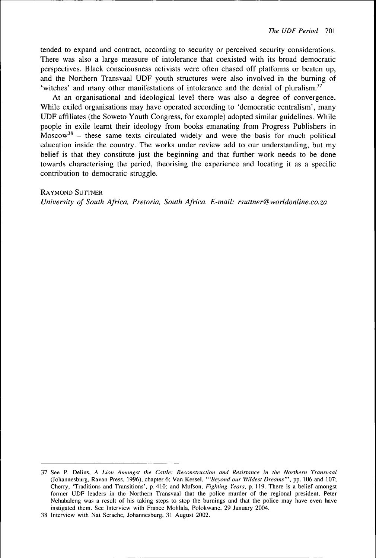tended to expand and contract, according to security or perceived security considerations. There was also a large measure of intolerance that coexisted with its broad democratic perspectives. Black consciousness activists were often chased off platforms or beaten up, and the Northern Transvaal UDF youth structures were also involved in the burning of 'witches' and many other manifestations of intolerance and the denial of pluralism.<sup>37</sup>

At an organisational and ideological level there was also a degree of convergence. While exiled organisations may have operated according to 'democratic centralism', many UDF affiliates (the Soweto Youth Congress, for example) adopted similar guidelines. While people in exile learnt their ideology from books emanating from Progress Publishers in  $Moseow<sup>38</sup>$  - these same texts circulated widely and were the basis for much political education inside the country. The works under review add to our understanding, but my belief is that they constitute just the beginning and that further work needs to be done towards characterising the period, theorising the experience and locating it as a specific contribution to democratic struggle.

#### RAYMOND SUTTNER

*University of South Africa, Pretoria, South Africa. E-mail: rsuttner@worldonline.co.za*

<sup>37</sup> See P. Delius, *A Lion Amongst the Cattle: Reconstruction and Resistance in the Northern Transvaal* (Johannesburg, Ravan Press, 1996), chapter 6; Van Kessel, *'"Beyond our Wildest Dreams'",* pp. 106 and 107; Cherry, 'Traditions and Transitions', p. 410; and Mufson, *Fighting Years,* p. 119. There is a belief amongst former UDF leaders in the Northern Transvaal that the police murder of the regional president, Peter Nchabaleng was a result of his taking steps to stop the burnings and that the police may have even have instigated them. See Interview with France Mohlala, Polokwane, 29 January 2004.

<sup>38</sup> Interview with Nat Serache, Johannesburg, 31 August 2002.